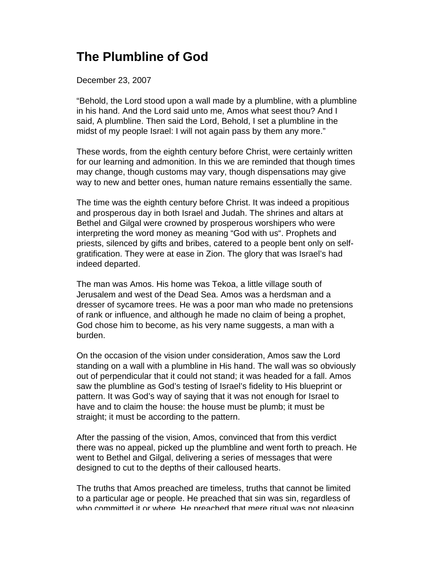## **The Plumbline of God**

December 23, 2007

"Behold, the Lord stood upon a wall made by a plumbline, with a plumbline in his hand. And the Lord said unto me, Amos what seest thou? And I said, A plumbline. Then said the Lord, Behold, I set a plumbline in the midst of my people Israel: I will not again pass by them any more."

These words, from the eighth century before Christ, were certainly written for our learning and admonition. In this we are reminded that though times may change, though customs may vary, though dispensations may give way to new and better ones, human nature remains essentially the same.

The time was the eighth century before Christ. It was indeed a propitious and prosperous day in both Israel and Judah. The shrines and altars at Bethel and Gilgal were crowned by prosperous worshipers who were interpreting the word money as meaning "God with us". Prophets and priests, silenced by gifts and bribes, catered to a people bent only on selfgratification. They were at ease in Zion. The glory that was Israel's had indeed departed.

The man was Amos. His home was Tekoa, a little village south of Jerusalem and west of the Dead Sea. Amos was a herdsman and a dresser of sycamore trees. He was a poor man who made no pretensions of rank or influence, and although he made no claim of being a prophet, God chose him to become, as his very name suggests, a man with a burden.

On the occasion of the vision under consideration, Amos saw the Lord standing on a wall with a plumbline in His hand. The wall was so obviously out of perpendicular that it could not stand; it was headed for a fall. Amos saw the plumbline as God's testing of Israel's fidelity to His blueprint or pattern. It was God's way of saying that it was not enough for Israel to have and to claim the house: the house must be plumb; it must be straight; it must be according to the pattern.

After the passing of the vision, Amos, convinced that from this verdict there was no appeal, picked up the plumbline and went forth to preach. He went to Bethel and Gilgal, delivering a series of messages that were designed to cut to the depths of their calloused hearts.

The truths that Amos preached are timeless, truths that cannot be limited to a particular age or people. He preached that sin was sin, regardless of who committed it or where. He preached that mere ritual was not pleasing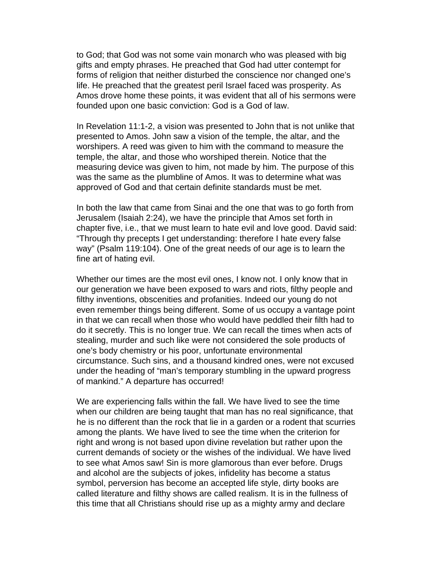to God; that God was not some vain monarch who was pleased with big gifts and empty phrases. He preached that God had utter contempt for forms of religion that neither disturbed the conscience nor changed one's life. He preached that the greatest peril Israel faced was prosperity. As Amos drove home these points, it was evident that all of his sermons were founded upon one basic conviction: God is a God of law.

In Revelation 11:1-2, a vision was presented to John that is not unlike that presented to Amos. John saw a vision of the temple, the altar, and the worshipers. A reed was given to him with the command to measure the temple, the altar, and those who worshiped therein. Notice that the measuring device was given to him, not made by him. The purpose of this was the same as the plumbline of Amos. It was to determine what was approved of God and that certain definite standards must be met.

In both the law that came from Sinai and the one that was to go forth from Jerusalem (Isaiah 2:24), we have the principle that Amos set forth in chapter five, i.e., that we must learn to hate evil and love good. David said: "Through thy precepts I get understanding: therefore I hate every false way" (Psalm 119:104). One of the great needs of our age is to learn the fine art of hating evil.

Whether our times are the most evil ones, I know not. I only know that in our generation we have been exposed to wars and riots, filthy people and filthy inventions, obscenities and profanities. Indeed our young do not even remember things being different. Some of us occupy a vantage point in that we can recall when those who would have peddled their filth had to do it secretly. This is no longer true. We can recall the times when acts of stealing, murder and such like were not considered the sole products of one's body chemistry or his poor, unfortunate environmental circumstance. Such sins, and a thousand kindred ones, were not excused under the heading of "man's temporary stumbling in the upward progress of mankind." A departure has occurred!

We are experiencing falls within the fall. We have lived to see the time when our children are being taught that man has no real significance, that he is no different than the rock that lie in a garden or a rodent that scurries among the plants. We have lived to see the time when the criterion for right and wrong is not based upon divine revelation but rather upon the current demands of society or the wishes of the individual. We have lived to see what Amos saw! Sin is more glamorous than ever before. Drugs and alcohol are the subjects of jokes, infidelity has become a status symbol, perversion has become an accepted life style, dirty books are called literature and filthy shows are called realism. It is in the fullness of this time that all Christians should rise up as a mighty army and declare